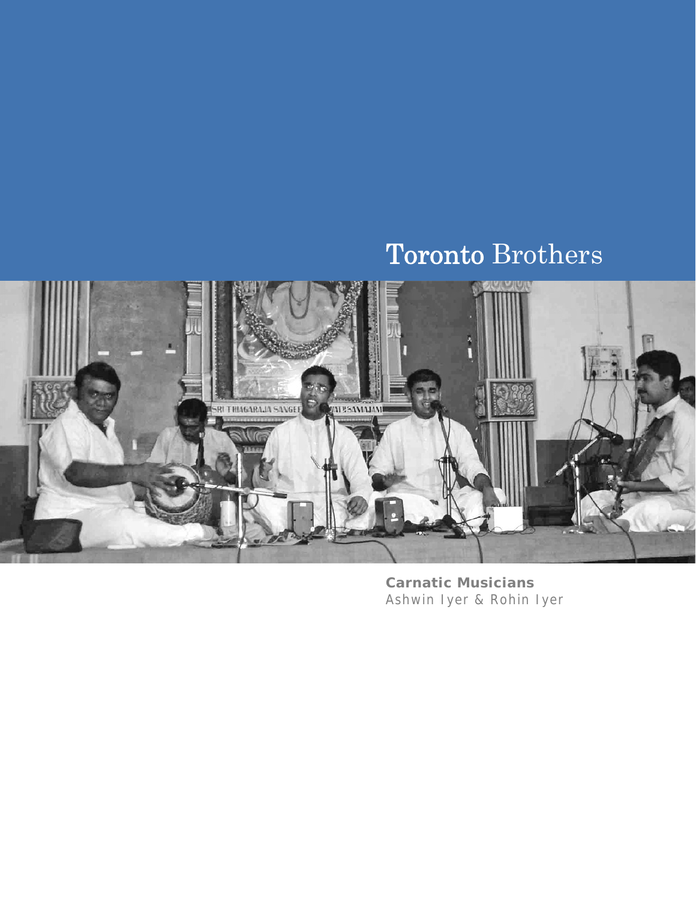# Toronto Brothers



**Carnatic Musicians**  Ashwin Iyer & Rohin Iyer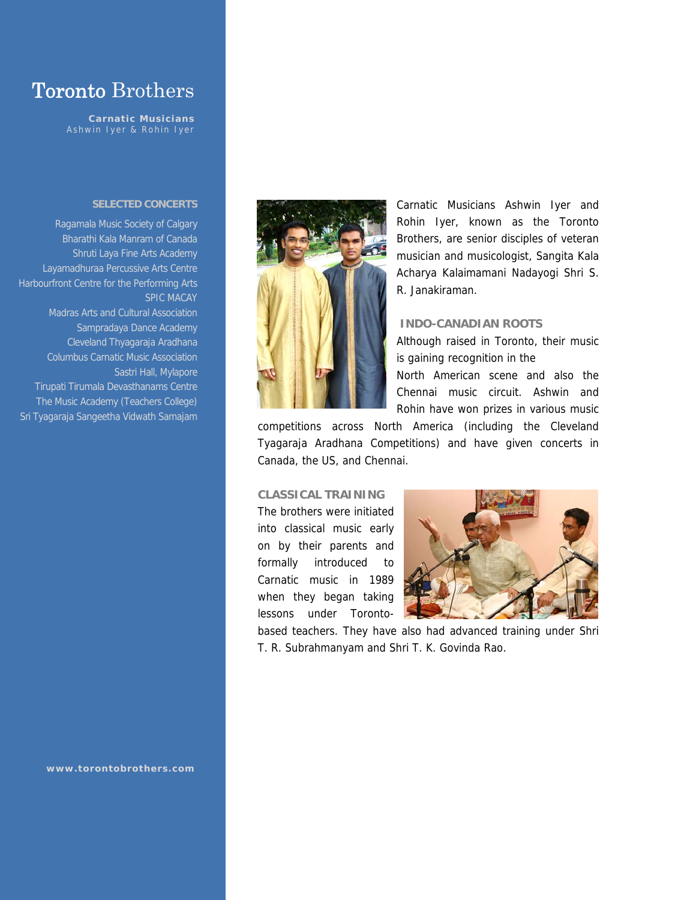# Toronto Brothers

**Carnatic Musicians**  Ashwin Iyer & Rohin Iyer

#### **SELECTED CONCERTS**

Ragamala Music Society of Calgary Bharathi Kala Manram of Canada Shruti Laya Fine Arts Academy Layamadhuraa Percussive Arts Centre Harbourfront Centre for the Performing Arts SPIC MACAY Madras Arts and Cultural Association Sampradaya Dance Academy Cleveland Thyagaraja Aradhana Columbus Carnatic Music Association Sastri Hall, Mylapore Tirupati Tirumala Devasthanams Centre The Music Academy (Teachers College)

Sri Tyagaraja Sangeetha Vidwath Samajam

**www.torontobrothers.com** 



Carnatic Musicians Ashwin Iyer and Rohin Iyer, known as the Toronto Brothers, are senior disciples of veteran musician and musicologist, Sangita Kala Acharya Kalaimamani Nadayogi Shri S. R. Janakiraman.

### **INDO-CANADIAN ROOTS**

Although raised in Toronto, their music is gaining recognition in the North American scene and also the Chennai music circuit. Ashwin and Rohin have won prizes in various music

competitions across North America (including the Cleveland Tyagaraja Aradhana Competitions) and have given concerts in Canada, the US, and Chennai.

## **CLASSICAL TRAINING**

The brothers were initiated into classical music early on by their parents and formally introduced to Carnatic music in 1989 when they began taking lessons under Toronto-



based teachers. They have also had advanced training under Shri T. R. Subrahmanyam and Shri T. K. Govinda Rao.